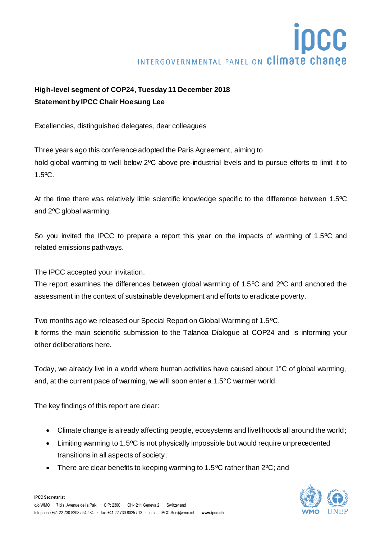## INTERGOVERNMENTAL PANEL ON Climate change

## **High-level segment of COP24, Tuesday 11 December 2018 Statement by IPCC Chair Hoesung Lee**

Excellencies, distinguished delegates, dear colleagues

Three years ago this conference adopted the Paris Agreement, aiming to hold global warming to well below 2ºC above pre-industrial levels and to pursue efforts to limit it to 1.5ºC.

At the time there was relatively little scientific knowledge specific to the difference between 1.5ºC and 2ºC global warming.

So you invited the IPCC to prepare a report this year on the impacts of warming of 1.5ºC and related emissions pathways.

The IPCC accepted your invitation.

The report examines the differences between global warming of 1.5ºC and 2ºC and anchored the assessment in the context of sustainable development and efforts to eradicate poverty.

Two months ago we released our Special Report on Global Warming of 1.5ºC. It forms the main scientific submission to the Talanoa Dialogue at COP24 and is informing your other deliberations here.

Today, we already live in a world where human activities have caused about 1°C of global warming, and, at the current pace of warming, we will soon enter a 1.5°C warmer world.

The key findings of this report are clear:

- Climate change is already affecting people, ecosystems and livelihoods all around the world;
- Limiting warming to 1.5°C is not physically impossible but would require unprecedented transitions in all aspects of society;
- There are clear benefits to keeping warming to 1.5°C rather than 2°C; and

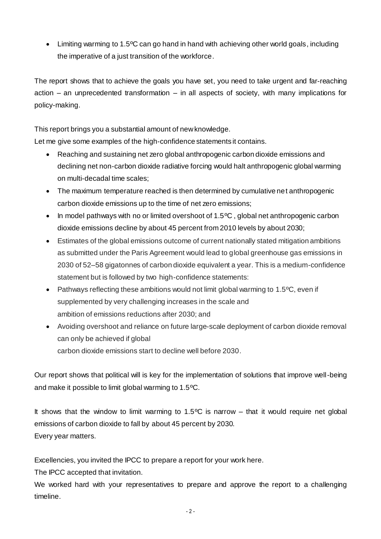• Limiting warming to 1.5°C can go hand in hand with achieving other world goals, including the imperative of a just transition of the workforce.

The report shows that to achieve the goals you have set, you need to take urgent and far-reaching action – an unprecedented transformation – in all aspects of society, with many implications for policy-making.

This report brings you a substantial amount of new knowledge.

Let me give some examples of the high-confidence statements it contains.

- Reaching and sustaining net zero global anthropogenic carbon dioxide emissions and declining net non-carbon dioxide radiative forcing would halt anthropogenic global warming on multi-decadal time scales;
- The maximum temperature reached is then determined by cumulative net anthropogenic carbon dioxide emissions up to the time of net zero emissions;
- In model pathways with no or limited overshoot of 1.5°C, global net anthropogenic carbon dioxide emissions decline by about 45 percent from 2010 levels by about 2030;
- Estimates of the global emissions outcome of current nationally stated mitigation ambitions as submitted under the Paris Agreement would lead to global greenhouse gas emissions in 2030 of 52–58 gigatonnes of carbon dioxide equivalent a year. This is a medium-confidence statement but is followed by two high-confidence statements:
- Pathways reflecting these ambitions would not limit global warming to 1.5<sup>o</sup>C, even if supplemented by very challenging increases in the scale and ambition of emissions reductions after 2030; and
- Avoiding overshoot and reliance on future large-scale deployment of carbon dioxide removal can only be achieved if global carbon dioxide emissions start to decline well before 2030.

Our report shows that political will is key for the implementation of solutions that improve well-being and make it possible to limit global warming to 1.5ºC.

It shows that the window to limit warming to 1.5 $\degree$ C is narrow – that it would require net global emissions of carbon dioxide to fall by about 45 percent by 2030. Every year matters.

Excellencies, you invited the IPCC to prepare a report for your work here.

The IPCC accepted that invitation.

We worked hard with your representatives to prepare and approve the report to a challenging timeline.